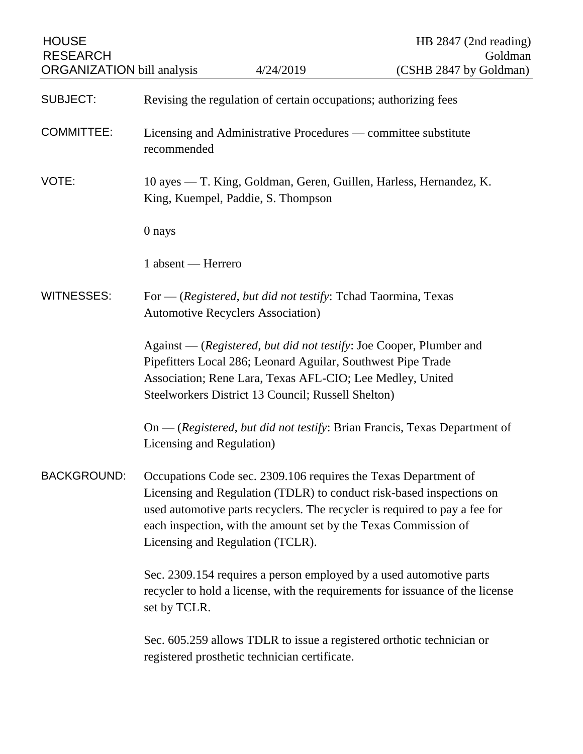| <b>HOUSE</b><br><b>RESEARCH</b>   |                                                                                                                                                                                                                                                                                                                              |                                               | HB 2847 (2nd reading)<br>Goldman                                            |
|-----------------------------------|------------------------------------------------------------------------------------------------------------------------------------------------------------------------------------------------------------------------------------------------------------------------------------------------------------------------------|-----------------------------------------------|-----------------------------------------------------------------------------|
| <b>ORGANIZATION</b> bill analysis |                                                                                                                                                                                                                                                                                                                              | 4/24/2019                                     | (CSHB 2847 by Goldman)                                                      |
| SUBJECT:                          | Revising the regulation of certain occupations; authorizing fees                                                                                                                                                                                                                                                             |                                               |                                                                             |
| <b>COMMITTEE:</b>                 | Licensing and Administrative Procedures — committee substitute<br>recommended                                                                                                                                                                                                                                                |                                               |                                                                             |
| VOTE:                             | 10 ayes — T. King, Goldman, Geren, Guillen, Harless, Hernandez, K.<br>King, Kuempel, Paddie, S. Thompson                                                                                                                                                                                                                     |                                               |                                                                             |
|                                   | 0 nays                                                                                                                                                                                                                                                                                                                       |                                               |                                                                             |
|                                   | 1 absent — Herrero                                                                                                                                                                                                                                                                                                           |                                               |                                                                             |
| <b>WITNESSES:</b>                 | For — (Registered, but did not testify: Tchad Taormina, Texas<br><b>Automotive Recyclers Association</b> )                                                                                                                                                                                                                   |                                               |                                                                             |
|                                   | Against — (Registered, but did not testify: Joe Cooper, Plumber and<br>Pipefitters Local 286; Leonard Aguilar, Southwest Pipe Trade<br>Association; Rene Lara, Texas AFL-CIO; Lee Medley, United<br>Steelworkers District 13 Council; Russell Shelton)                                                                       |                                               |                                                                             |
|                                   | Licensing and Regulation)                                                                                                                                                                                                                                                                                                    |                                               | $On$ - (Registered, but did not testify: Brian Francis, Texas Department of |
| <b>BACKGROUND:</b>                | Occupations Code sec. 2309.106 requires the Texas Department of<br>Licensing and Regulation (TDLR) to conduct risk-based inspections on<br>used automotive parts recyclers. The recycler is required to pay a fee for<br>each inspection, with the amount set by the Texas Commission of<br>Licensing and Regulation (TCLR). |                                               |                                                                             |
|                                   | Sec. 2309.154 requires a person employed by a used automotive parts<br>recycler to hold a license, with the requirements for issuance of the license<br>set by TCLR.                                                                                                                                                         |                                               |                                                                             |
|                                   |                                                                                                                                                                                                                                                                                                                              | registered prosthetic technician certificate. | Sec. 605.259 allows TDLR to issue a registered orthotic technician or       |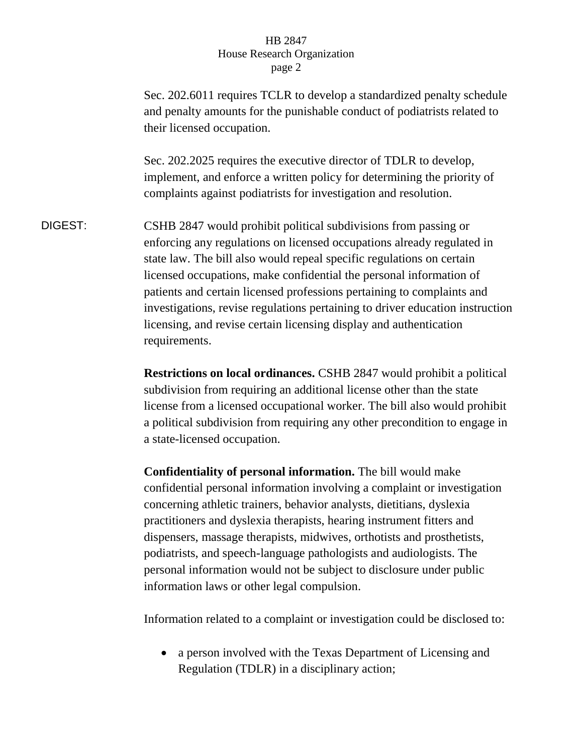Sec. 202.6011 requires TCLR to develop a standardized penalty schedule and penalty amounts for the punishable conduct of podiatrists related to their licensed occupation. Sec. 202.2025 requires the executive director of TDLR to develop, implement, and enforce a written policy for determining the priority of complaints against podiatrists for investigation and resolution. DIGEST: CSHB 2847 would prohibit political subdivisions from passing or enforcing any regulations on licensed occupations already regulated in state law. The bill also would repeal specific regulations on certain licensed occupations, make confidential the personal information of patients and certain licensed professions pertaining to complaints and investigations, revise regulations pertaining to driver education instruction licensing, and revise certain licensing display and authentication requirements.

> **Restrictions on local ordinances.** CSHB 2847 would prohibit a political subdivision from requiring an additional license other than the state license from a licensed occupational worker. The bill also would prohibit a political subdivision from requiring any other precondition to engage in a state-licensed occupation.

**Confidentiality of personal information.** The bill would make confidential personal information involving a complaint or investigation concerning athletic trainers, behavior analysts, dietitians, dyslexia practitioners and dyslexia therapists, hearing instrument fitters and dispensers, massage therapists, midwives, orthotists and prosthetists, podiatrists, and speech-language pathologists and audiologists. The personal information would not be subject to disclosure under public information laws or other legal compulsion.

Information related to a complaint or investigation could be disclosed to:

• a person involved with the Texas Department of Licensing and Regulation (TDLR) in a disciplinary action;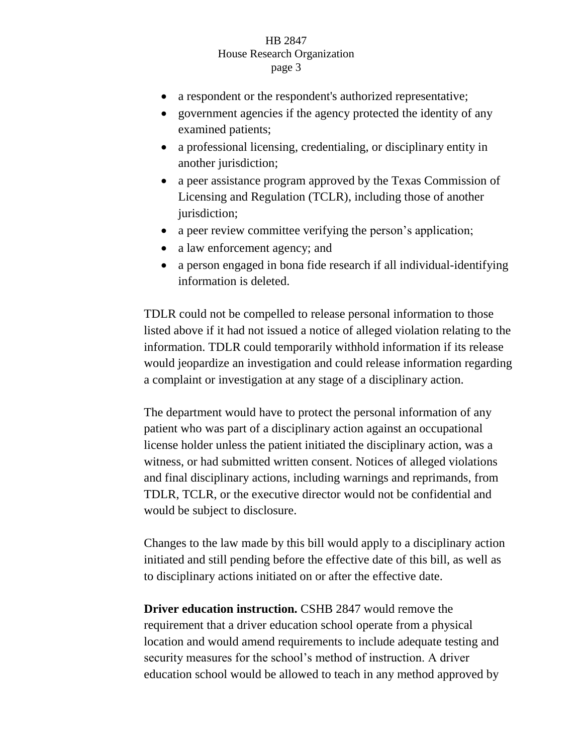- a respondent or the respondent's authorized representative;
- government agencies if the agency protected the identity of any examined patients;
- a professional licensing, credentialing, or disciplinary entity in another jurisdiction;
- a peer assistance program approved by the Texas Commission of Licensing and Regulation (TCLR), including those of another jurisdiction;
- a peer review committee verifying the person's application;
- a law enforcement agency; and
- a person engaged in bona fide research if all individual-identifying information is deleted.

TDLR could not be compelled to release personal information to those listed above if it had not issued a notice of alleged violation relating to the information. TDLR could temporarily withhold information if its release would jeopardize an investigation and could release information regarding a complaint or investigation at any stage of a disciplinary action.

The department would have to protect the personal information of any patient who was part of a disciplinary action against an occupational license holder unless the patient initiated the disciplinary action, was a witness, or had submitted written consent. Notices of alleged violations and final disciplinary actions, including warnings and reprimands, from TDLR, TCLR, or the executive director would not be confidential and would be subject to disclosure.

Changes to the law made by this bill would apply to a disciplinary action initiated and still pending before the effective date of this bill, as well as to disciplinary actions initiated on or after the effective date.

**Driver education instruction.** CSHB 2847 would remove the requirement that a driver education school operate from a physical location and would amend requirements to include adequate testing and security measures for the school's method of instruction. A driver education school would be allowed to teach in any method approved by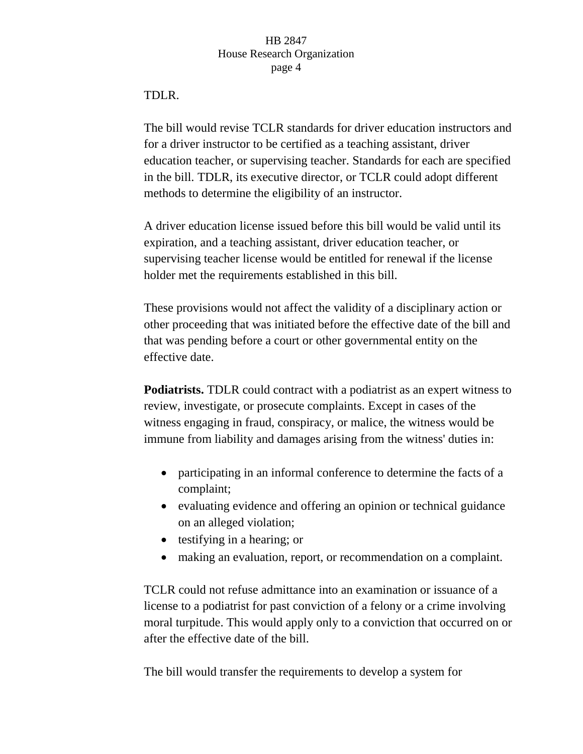# TDLR.

The bill would revise TCLR standards for driver education instructors and for a driver instructor to be certified as a teaching assistant, driver education teacher, or supervising teacher. Standards for each are specified in the bill. TDLR, its executive director, or TCLR could adopt different methods to determine the eligibility of an instructor.

A driver education license issued before this bill would be valid until its expiration, and a teaching assistant, driver education teacher, or supervising teacher license would be entitled for renewal if the license holder met the requirements established in this bill.

These provisions would not affect the validity of a disciplinary action or other proceeding that was initiated before the effective date of the bill and that was pending before a court or other governmental entity on the effective date.

**Podiatrists.** TDLR could contract with a podiatrist as an expert witness to review, investigate, or prosecute complaints. Except in cases of the witness engaging in fraud, conspiracy, or malice, the witness would be immune from liability and damages arising from the witness' duties in:

- participating in an informal conference to determine the facts of a complaint;
- evaluating evidence and offering an opinion or technical guidance on an alleged violation;
- testifying in a hearing; or
- making an evaluation, report, or recommendation on a complaint.

TCLR could not refuse admittance into an examination or issuance of a license to a podiatrist for past conviction of a felony or a crime involving moral turpitude. This would apply only to a conviction that occurred on or after the effective date of the bill.

The bill would transfer the requirements to develop a system for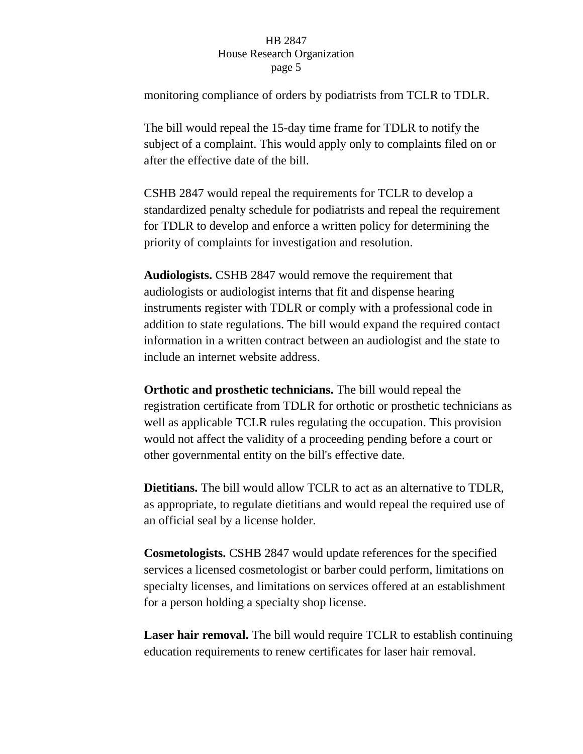monitoring compliance of orders by podiatrists from TCLR to TDLR.

The bill would repeal the 15-day time frame for TDLR to notify the subject of a complaint. This would apply only to complaints filed on or after the effective date of the bill.

CSHB 2847 would repeal the requirements for TCLR to develop a standardized penalty schedule for podiatrists and repeal the requirement for TDLR to develop and enforce a written policy for determining the priority of complaints for investigation and resolution.

**Audiologists.** CSHB 2847 would remove the requirement that audiologists or audiologist interns that fit and dispense hearing instruments register with TDLR or comply with a professional code in addition to state regulations. The bill would expand the required contact information in a written contract between an audiologist and the state to include an internet website address.

**Orthotic and prosthetic technicians.** The bill would repeal the registration certificate from TDLR for orthotic or prosthetic technicians as well as applicable TCLR rules regulating the occupation. This provision would not affect the validity of a proceeding pending before a court or other governmental entity on the bill's effective date.

**Dietitians.** The bill would allow TCLR to act as an alternative to TDLR, as appropriate, to regulate dietitians and would repeal the required use of an official seal by a license holder.

**Cosmetologists.** CSHB 2847 would update references for the specified services a licensed cosmetologist or barber could perform, limitations on specialty licenses, and limitations on services offered at an establishment for a person holding a specialty shop license.

**Laser hair removal.** The bill would require TCLR to establish continuing education requirements to renew certificates for laser hair removal.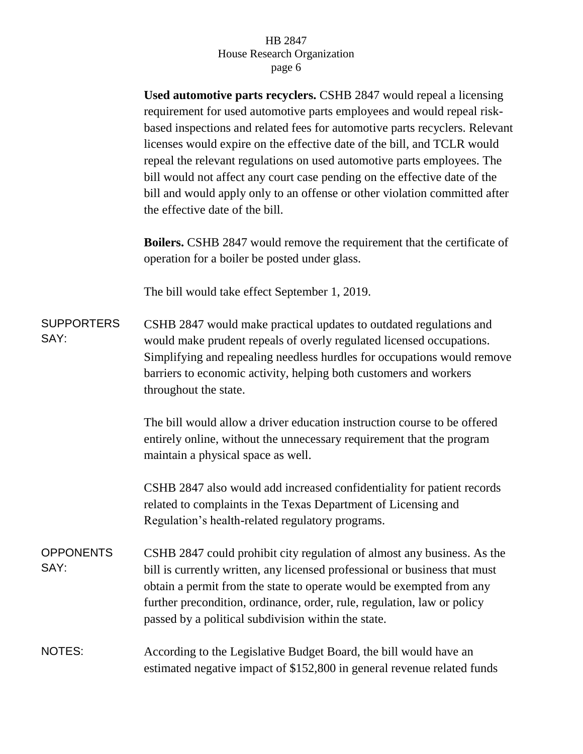**Used automotive parts recyclers.** CSHB 2847 would repeal a licensing requirement for used automotive parts employees and would repeal riskbased inspections and related fees for automotive parts recyclers. Relevant licenses would expire on the effective date of the bill, and TCLR would repeal the relevant regulations on used automotive parts employees. The bill would not affect any court case pending on the effective date of the bill and would apply only to an offense or other violation committed after the effective date of the bill.

**Boilers.** CSHB 2847 would remove the requirement that the certificate of operation for a boiler be posted under glass.

The bill would take effect September 1, 2019.

**SUPPORTERS** SAY: CSHB 2847 would make practical updates to outdated regulations and would make prudent repeals of overly regulated licensed occupations. Simplifying and repealing needless hurdles for occupations would remove barriers to economic activity, helping both customers and workers throughout the state.

> The bill would allow a driver education instruction course to be offered entirely online, without the unnecessary requirement that the program maintain a physical space as well.

> CSHB 2847 also would add increased confidentiality for patient records related to complaints in the Texas Department of Licensing and Regulation's health-related regulatory programs.

**OPPONENTS** SAY: CSHB 2847 could prohibit city regulation of almost any business. As the bill is currently written, any licensed professional or business that must obtain a permit from the state to operate would be exempted from any further precondition, ordinance, order, rule, regulation, law or policy passed by a political subdivision within the state.

# NOTES: According to the Legislative Budget Board, the bill would have an estimated negative impact of \$152,800 in general revenue related funds